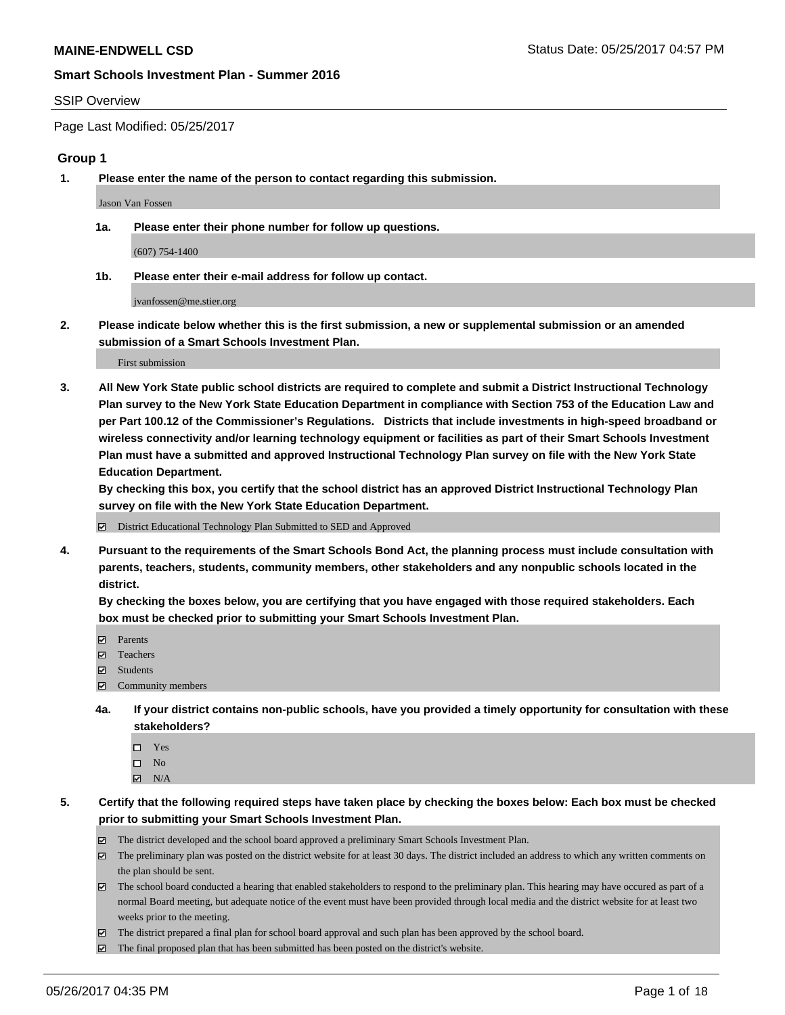#### SSIP Overview

Page Last Modified: 05/25/2017

### **Group 1**

**1. Please enter the name of the person to contact regarding this submission.**

Jason Van Fossen

**1a. Please enter their phone number for follow up questions.**

(607) 754-1400

**1b. Please enter their e-mail address for follow up contact.**

jvanfossen@me.stier.org

**2. Please indicate below whether this is the first submission, a new or supplemental submission or an amended submission of a Smart Schools Investment Plan.**

First submission

**3. All New York State public school districts are required to complete and submit a District Instructional Technology Plan survey to the New York State Education Department in compliance with Section 753 of the Education Law and per Part 100.12 of the Commissioner's Regulations. Districts that include investments in high-speed broadband or wireless connectivity and/or learning technology equipment or facilities as part of their Smart Schools Investment Plan must have a submitted and approved Instructional Technology Plan survey on file with the New York State Education Department.** 

**By checking this box, you certify that the school district has an approved District Instructional Technology Plan survey on file with the New York State Education Department.**

District Educational Technology Plan Submitted to SED and Approved

**4. Pursuant to the requirements of the Smart Schools Bond Act, the planning process must include consultation with parents, teachers, students, community members, other stakeholders and any nonpublic schools located in the district.** 

**By checking the boxes below, you are certifying that you have engaged with those required stakeholders. Each box must be checked prior to submitting your Smart Schools Investment Plan.**

- **マ** Parents
- □ Teachers
- Students
- $\Xi$  Community members
- **4a. If your district contains non-public schools, have you provided a timely opportunity for consultation with these stakeholders?**
	- Yes
	- $\hfill \square$  No
	- $\boxtimes$  N/A
- **5. Certify that the following required steps have taken place by checking the boxes below: Each box must be checked prior to submitting your Smart Schools Investment Plan.**
	- The district developed and the school board approved a preliminary Smart Schools Investment Plan.
	- $\boxtimes$  The preliminary plan was posted on the district website for at least 30 days. The district included an address to which any written comments on the plan should be sent.
	- $\boxtimes$  The school board conducted a hearing that enabled stakeholders to respond to the preliminary plan. This hearing may have occured as part of a normal Board meeting, but adequate notice of the event must have been provided through local media and the district website for at least two weeks prior to the meeting.
	- The district prepared a final plan for school board approval and such plan has been approved by the school board.
	- $\boxtimes$  The final proposed plan that has been submitted has been posted on the district's website.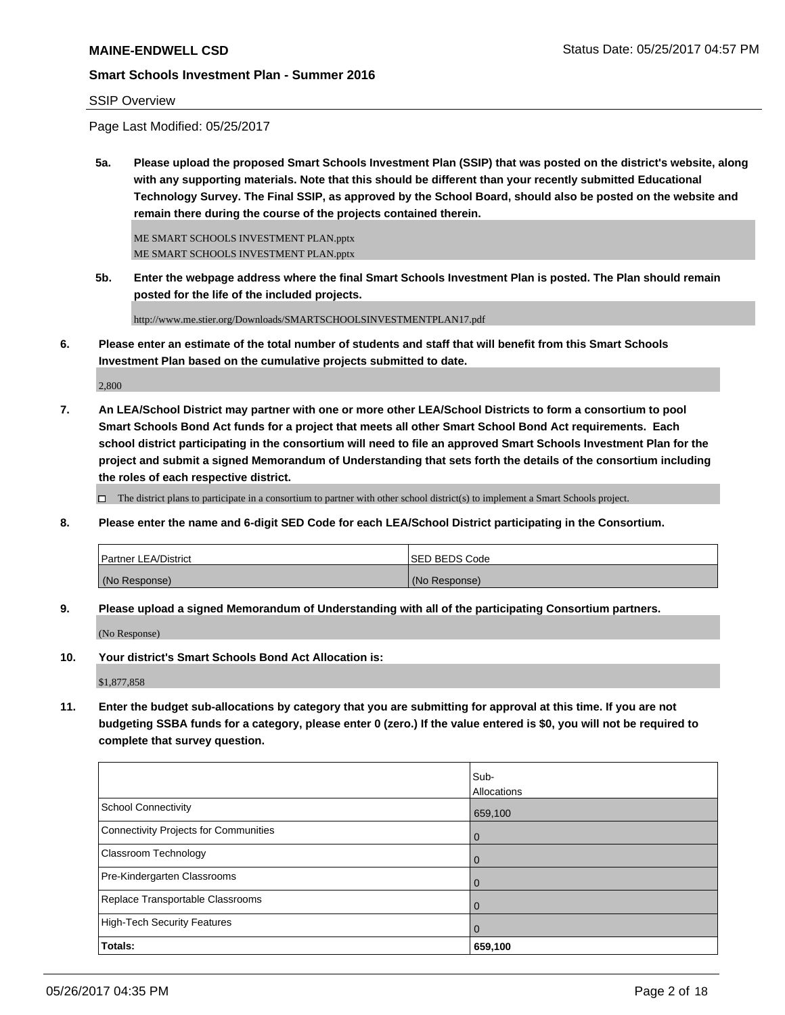## SSIP Overview

Page Last Modified: 05/25/2017

**5a. Please upload the proposed Smart Schools Investment Plan (SSIP) that was posted on the district's website, along with any supporting materials. Note that this should be different than your recently submitted Educational Technology Survey. The Final SSIP, as approved by the School Board, should also be posted on the website and remain there during the course of the projects contained therein.**

ME SMART SCHOOLS INVESTMENT PLAN.pptx ME SMART SCHOOLS INVESTMENT PLAN.pptx

**5b. Enter the webpage address where the final Smart Schools Investment Plan is posted. The Plan should remain posted for the life of the included projects.**

http://www.me.stier.org/Downloads/SMARTSCHOOLSINVESTMENTPLAN17.pdf

**6. Please enter an estimate of the total number of students and staff that will benefit from this Smart Schools Investment Plan based on the cumulative projects submitted to date.**

2,800

**7. An LEA/School District may partner with one or more other LEA/School Districts to form a consortium to pool Smart Schools Bond Act funds for a project that meets all other Smart School Bond Act requirements. Each school district participating in the consortium will need to file an approved Smart Schools Investment Plan for the project and submit a signed Memorandum of Understanding that sets forth the details of the consortium including the roles of each respective district.**

 $\Box$  The district plans to participate in a consortium to partner with other school district(s) to implement a Smart Schools project.

**8. Please enter the name and 6-digit SED Code for each LEA/School District participating in the Consortium.**

| <b>Partner LEA/District</b> | <b>ISED BEDS Code</b> |
|-----------------------------|-----------------------|
| (No Response)               | (No Response)         |

**9. Please upload a signed Memorandum of Understanding with all of the participating Consortium partners.**

(No Response)

**10. Your district's Smart Schools Bond Act Allocation is:**

\$1,877,858

**11. Enter the budget sub-allocations by category that you are submitting for approval at this time. If you are not budgeting SSBA funds for a category, please enter 0 (zero.) If the value entered is \$0, you will not be required to complete that survey question.**

|                                       | Sub-           |
|---------------------------------------|----------------|
|                                       | Allocations    |
| School Connectivity                   | 659,100        |
| Connectivity Projects for Communities | l O            |
| <b>Classroom Technology</b>           | $\Omega$       |
| Pre-Kindergarten Classrooms           | $\overline{0}$ |
| Replace Transportable Classrooms      | $\Omega$       |
| High-Tech Security Features           | $\overline{0}$ |
| Totals:                               | 659,100        |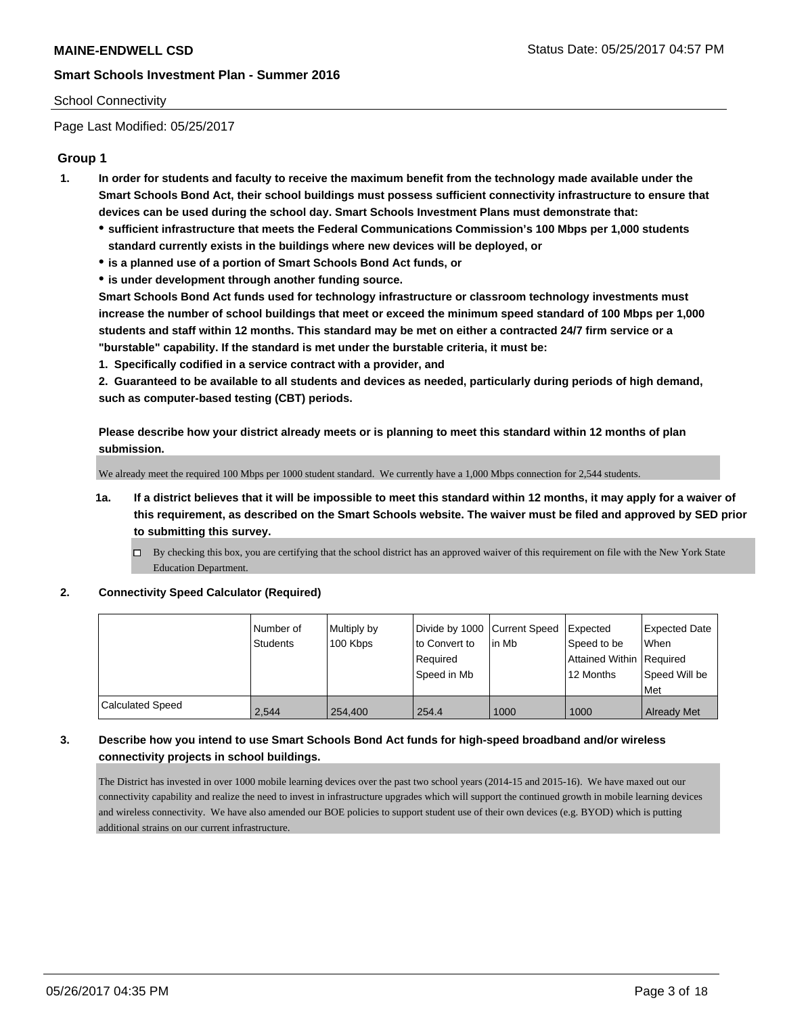## School Connectivity

Page Last Modified: 05/25/2017

## **Group 1**

- **1. In order for students and faculty to receive the maximum benefit from the technology made available under the Smart Schools Bond Act, their school buildings must possess sufficient connectivity infrastructure to ensure that devices can be used during the school day. Smart Schools Investment Plans must demonstrate that:**
	- **sufficient infrastructure that meets the Federal Communications Commission's 100 Mbps per 1,000 students standard currently exists in the buildings where new devices will be deployed, or**
	- **is a planned use of a portion of Smart Schools Bond Act funds, or**
	- **is under development through another funding source.**

**Smart Schools Bond Act funds used for technology infrastructure or classroom technology investments must increase the number of school buildings that meet or exceed the minimum speed standard of 100 Mbps per 1,000 students and staff within 12 months. This standard may be met on either a contracted 24/7 firm service or a "burstable" capability. If the standard is met under the burstable criteria, it must be:**

**1. Specifically codified in a service contract with a provider, and**

**2. Guaranteed to be available to all students and devices as needed, particularly during periods of high demand, such as computer-based testing (CBT) periods.**

**Please describe how your district already meets or is planning to meet this standard within 12 months of plan submission.**

We already meet the required 100 Mbps per 1000 student standard. We currently have a 1,000 Mbps connection for 2,544 students.

- **1a. If a district believes that it will be impossible to meet this standard within 12 months, it may apply for a waiver of this requirement, as described on the Smart Schools website. The waiver must be filed and approved by SED prior to submitting this survey.**
	- By checking this box, you are certifying that the school district has an approved waiver of this requirement on file with the New York State Education Department.

#### **2. Connectivity Speed Calculator (Required)**

|                         | Number of       | Multiply by | Divide by 1000 Current Speed |       | Expected                   | <b>Expected Date</b> |
|-------------------------|-----------------|-------------|------------------------------|-------|----------------------------|----------------------|
|                         | <b>Students</b> | 100 Kbps    | to Convert to                | in Mb | Speed to be                | <b>When</b>          |
|                         |                 |             | Required                     |       | Attained Within   Required |                      |
|                         |                 |             | Speed in Mb                  |       | 12 Months                  | Speed Will be        |
|                         |                 |             |                              |       |                            | Met                  |
| <b>Calculated Speed</b> | 2.544           | 254,400     | 254.4                        | 1000  | 1000                       | <b>Already Met</b>   |

## **3. Describe how you intend to use Smart Schools Bond Act funds for high-speed broadband and/or wireless connectivity projects in school buildings.**

The District has invested in over 1000 mobile learning devices over the past two school years (2014-15 and 2015-16). We have maxed out our connectivity capability and realize the need to invest in infrastructure upgrades which will support the continued growth in mobile learning devices and wireless connectivity. We have also amended our BOE policies to support student use of their own devices (e.g. BYOD) which is putting additional strains on our current infrastructure.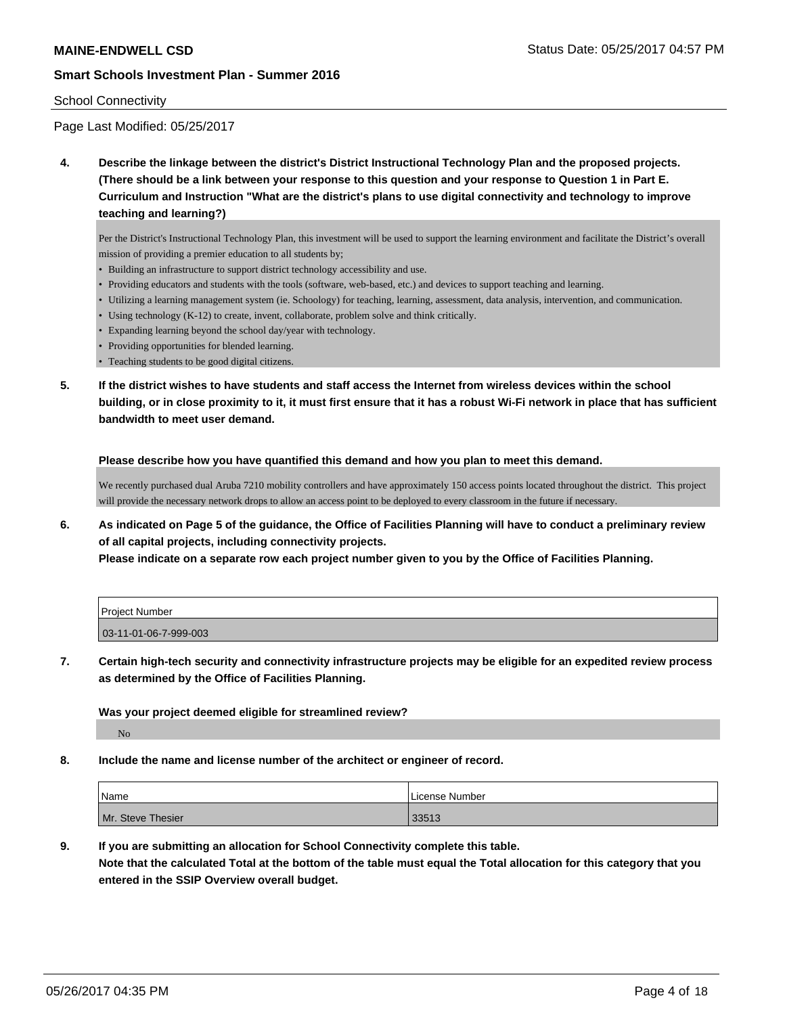#### School Connectivity

Page Last Modified: 05/25/2017

**4. Describe the linkage between the district's District Instructional Technology Plan and the proposed projects. (There should be a link between your response to this question and your response to Question 1 in Part E. Curriculum and Instruction "What are the district's plans to use digital connectivity and technology to improve teaching and learning?)**

Per the District's Instructional Technology Plan, this investment will be used to support the learning environment and facilitate the District's overall mission of providing a premier education to all students by;

- Building an infrastructure to support district technology accessibility and use.
- Providing educators and students with the tools (software, web-based, etc.) and devices to support teaching and learning.
- Utilizing a learning management system (ie. Schoology) for teaching, learning, assessment, data analysis, intervention, and communication.
- Using technology (K-12) to create, invent, collaborate, problem solve and think critically.
- Expanding learning beyond the school day/year with technology.
- Providing opportunities for blended learning.
- Teaching students to be good digital citizens.
- **5. If the district wishes to have students and staff access the Internet from wireless devices within the school building, or in close proximity to it, it must first ensure that it has a robust Wi-Fi network in place that has sufficient bandwidth to meet user demand.**

**Please describe how you have quantified this demand and how you plan to meet this demand.**

We recently purchased dual Aruba 7210 mobility controllers and have approximately 150 access points located throughout the district. This project will provide the necessary network drops to allow an access point to be deployed to every classroom in the future if necessary.

**6. As indicated on Page 5 of the guidance, the Office of Facilities Planning will have to conduct a preliminary review of all capital projects, including connectivity projects.**

**Please indicate on a separate row each project number given to you by the Office of Facilities Planning.**

| <b>Project Number</b> |  |
|-----------------------|--|
| 03-11-01-06-7-999-003 |  |

**7. Certain high-tech security and connectivity infrastructure projects may be eligible for an expedited review process as determined by the Office of Facilities Planning.**

**Was your project deemed eligible for streamlined review?**

No

**8. Include the name and license number of the architect or engineer of record.**

| 'Name             | License Number |
|-------------------|----------------|
| Mr. Steve Thesier | 33513          |

**9. If you are submitting an allocation for School Connectivity complete this table. Note that the calculated Total at the bottom of the table must equal the Total allocation for this category that you entered in the SSIP Overview overall budget.**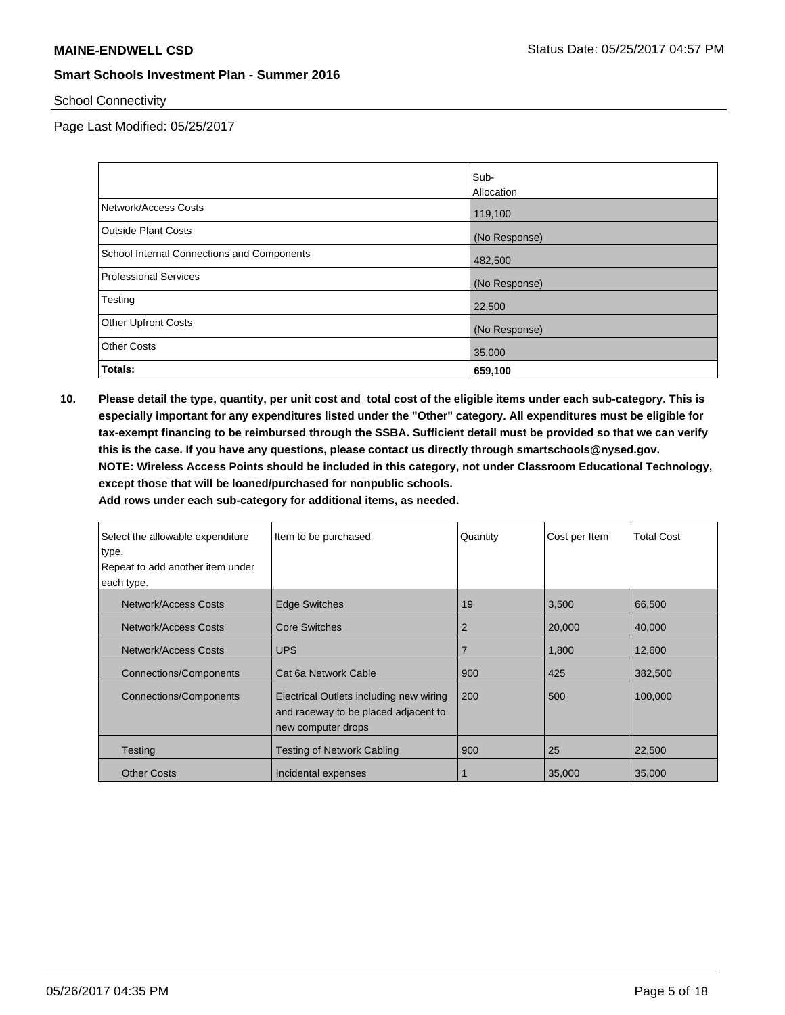## School Connectivity

Page Last Modified: 05/25/2017

|                                            | Sub-          |
|--------------------------------------------|---------------|
|                                            | Allocation    |
| Network/Access Costs                       | 119,100       |
| <b>Outside Plant Costs</b>                 | (No Response) |
| School Internal Connections and Components | 482,500       |
| <b>Professional Services</b>               | (No Response) |
| Testing                                    | 22,500        |
| <b>Other Upfront Costs</b>                 | (No Response) |
| <b>Other Costs</b>                         | 35,000        |
| Totals:                                    | 659,100       |

**10. Please detail the type, quantity, per unit cost and total cost of the eligible items under each sub-category. This is especially important for any expenditures listed under the "Other" category. All expenditures must be eligible for tax-exempt financing to be reimbursed through the SSBA. Sufficient detail must be provided so that we can verify this is the case. If you have any questions, please contact us directly through smartschools@nysed.gov. NOTE: Wireless Access Points should be included in this category, not under Classroom Educational Technology, except those that will be loaned/purchased for nonpublic schools.**

| Select the allowable expenditure<br>type. | Item to be purchased                                                                                  | Quantity | Cost per Item | <b>Total Cost</b> |
|-------------------------------------------|-------------------------------------------------------------------------------------------------------|----------|---------------|-------------------|
| Repeat to add another item under          |                                                                                                       |          |               |                   |
| each type.                                |                                                                                                       |          |               |                   |
| Network/Access Costs                      | <b>Edge Switches</b>                                                                                  | 19       | 3,500         | 66,500            |
| Network/Access Costs                      | Core Switches                                                                                         | 2        | 20,000        | 40,000            |
| Network/Access Costs                      | <b>UPS</b>                                                                                            | 7        | 1,800         | 12,600            |
| <b>Connections/Components</b>             | Cat 6a Network Cable                                                                                  | 900      | 425           | 382,500           |
| <b>Connections/Components</b>             | Electrical Outlets including new wiring<br>and raceway to be placed adjacent to<br>new computer drops | 200      | 500           | 100,000           |
| Testing                                   | <b>Testing of Network Cabling</b>                                                                     | 900      | 25            | 22,500            |
| <b>Other Costs</b>                        | Incidental expenses                                                                                   |          | 35,000        | 35,000            |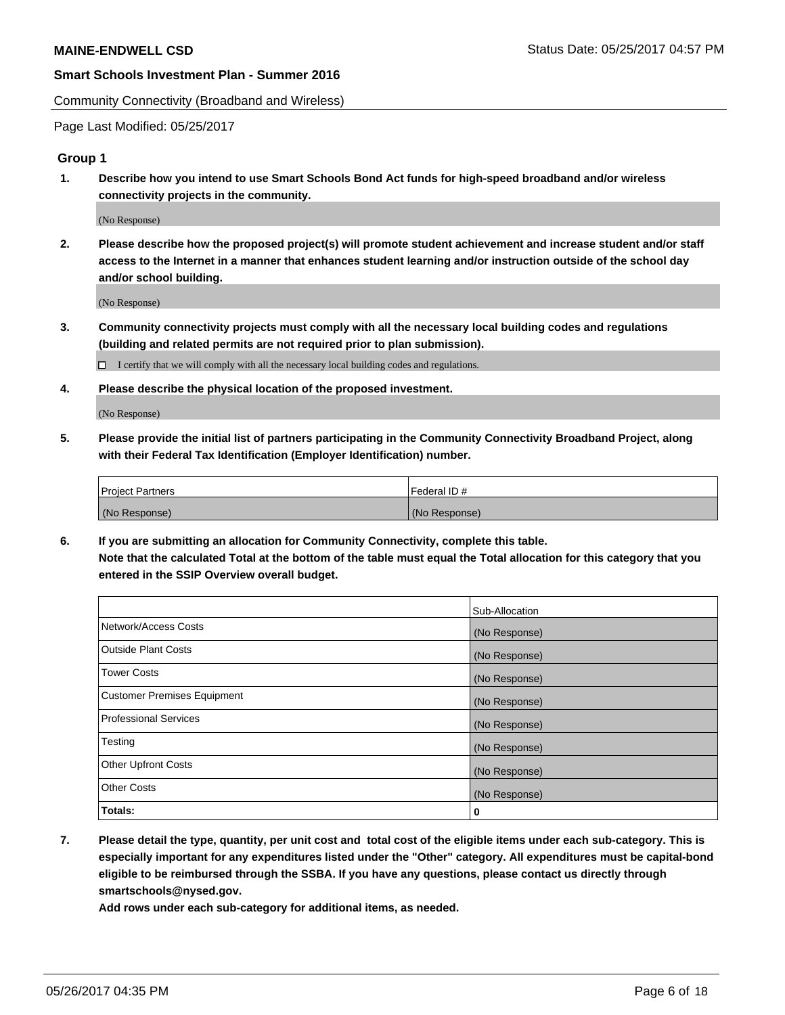Community Connectivity (Broadband and Wireless)

Page Last Modified: 05/25/2017

#### **Group 1**

**1. Describe how you intend to use Smart Schools Bond Act funds for high-speed broadband and/or wireless connectivity projects in the community.**

(No Response)

**2. Please describe how the proposed project(s) will promote student achievement and increase student and/or staff access to the Internet in a manner that enhances student learning and/or instruction outside of the school day and/or school building.**

(No Response)

**3. Community connectivity projects must comply with all the necessary local building codes and regulations (building and related permits are not required prior to plan submission).**

 $\Box$  I certify that we will comply with all the necessary local building codes and regulations.

**4. Please describe the physical location of the proposed investment.**

(No Response)

**5. Please provide the initial list of partners participating in the Community Connectivity Broadband Project, along with their Federal Tax Identification (Employer Identification) number.**

| <b>Project Partners</b> | Federal ID#     |
|-------------------------|-----------------|
| (No Response)           | l (No Response) |

**6. If you are submitting an allocation for Community Connectivity, complete this table. Note that the calculated Total at the bottom of the table must equal the Total allocation for this category that you entered in the SSIP Overview overall budget.**

|                              | Sub-Allocation |
|------------------------------|----------------|
| Network/Access Costs         | (No Response)  |
| Outside Plant Costs          | (No Response)  |
| <b>Tower Costs</b>           | (No Response)  |
| Customer Premises Equipment  | (No Response)  |
| <b>Professional Services</b> | (No Response)  |
| Testing                      | (No Response)  |
| <b>Other Upfront Costs</b>   | (No Response)  |
| <b>Other Costs</b>           | (No Response)  |
| Totals:                      | 0              |

**7. Please detail the type, quantity, per unit cost and total cost of the eligible items under each sub-category. This is especially important for any expenditures listed under the "Other" category. All expenditures must be capital-bond eligible to be reimbursed through the SSBA. If you have any questions, please contact us directly through smartschools@nysed.gov.**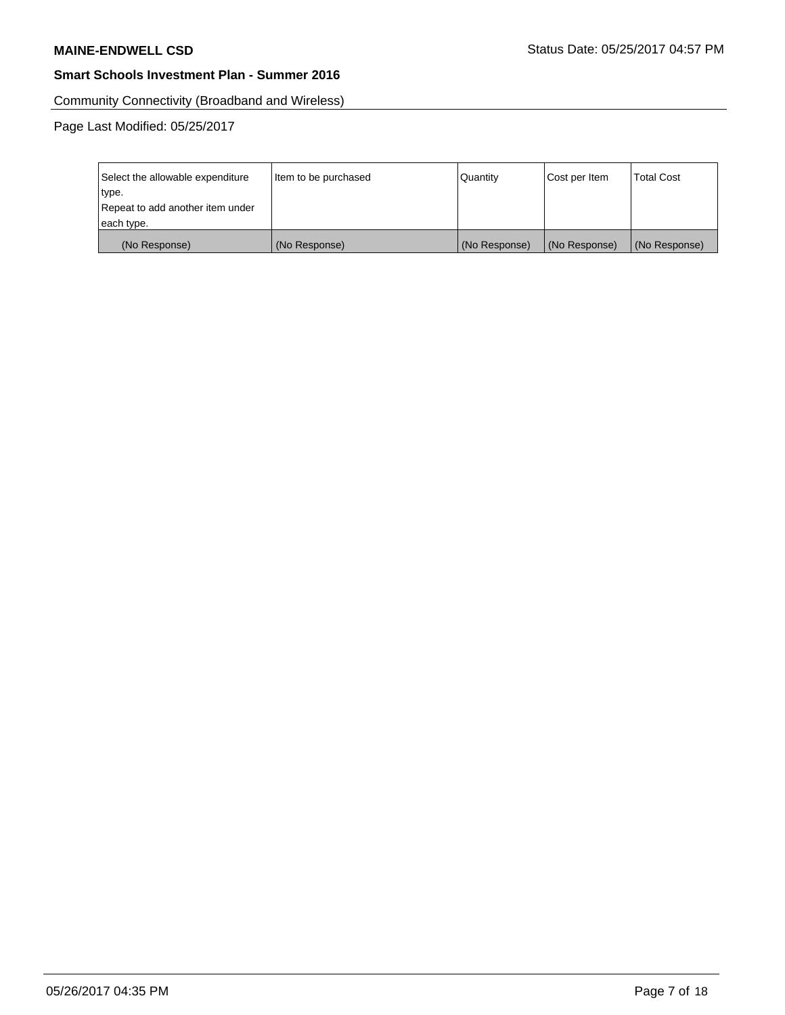Community Connectivity (Broadband and Wireless)

Page Last Modified: 05/25/2017

| Select the allowable expenditure<br>type.<br>Repeat to add another item under | Item to be purchased | <b>Quantity</b> | Cost per Item | <b>Total Cost</b> |
|-------------------------------------------------------------------------------|----------------------|-----------------|---------------|-------------------|
| each type.                                                                    |                      |                 |               |                   |
| (No Response)                                                                 | (No Response)        | (No Response)   | (No Response) | (No Response)     |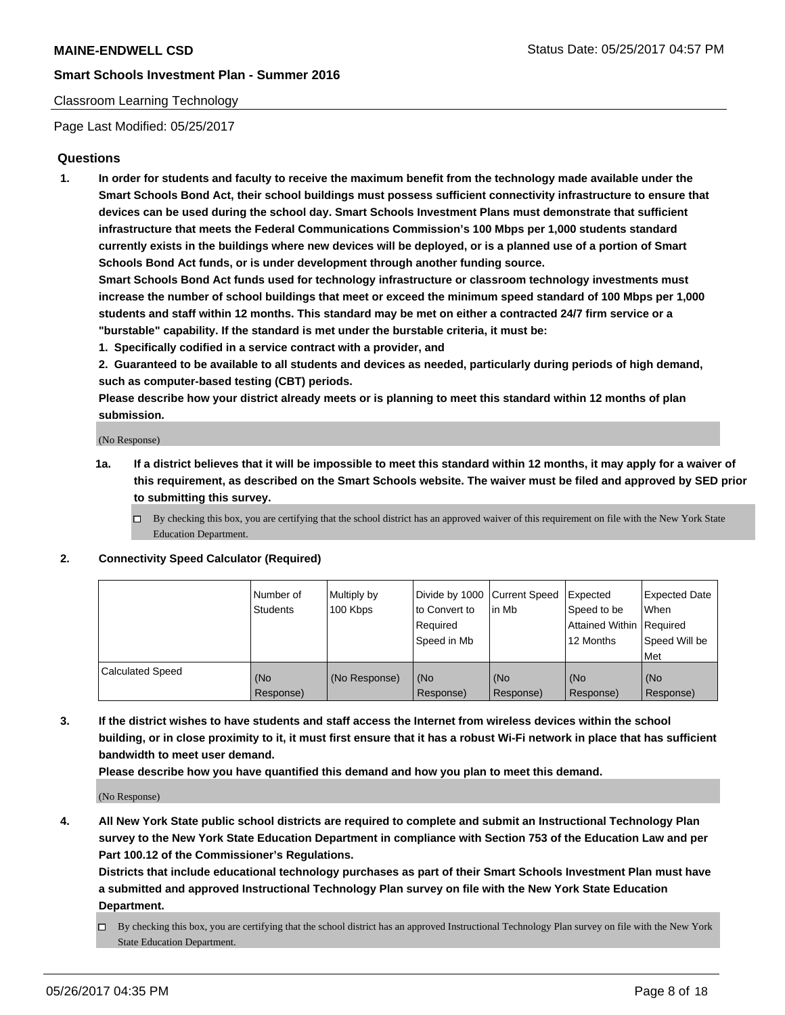### Classroom Learning Technology

Page Last Modified: 05/25/2017

## **Questions**

**1. In order for students and faculty to receive the maximum benefit from the technology made available under the Smart Schools Bond Act, their school buildings must possess sufficient connectivity infrastructure to ensure that devices can be used during the school day. Smart Schools Investment Plans must demonstrate that sufficient infrastructure that meets the Federal Communications Commission's 100 Mbps per 1,000 students standard currently exists in the buildings where new devices will be deployed, or is a planned use of a portion of Smart Schools Bond Act funds, or is under development through another funding source.**

**Smart Schools Bond Act funds used for technology infrastructure or classroom technology investments must increase the number of school buildings that meet or exceed the minimum speed standard of 100 Mbps per 1,000 students and staff within 12 months. This standard may be met on either a contracted 24/7 firm service or a "burstable" capability. If the standard is met under the burstable criteria, it must be:**

- **1. Specifically codified in a service contract with a provider, and**
- **2. Guaranteed to be available to all students and devices as needed, particularly during periods of high demand, such as computer-based testing (CBT) periods.**

**Please describe how your district already meets or is planning to meet this standard within 12 months of plan submission.**

(No Response)

- **1a. If a district believes that it will be impossible to meet this standard within 12 months, it may apply for a waiver of this requirement, as described on the Smart Schools website. The waiver must be filed and approved by SED prior to submitting this survey.**
	- $\Box$  By checking this box, you are certifying that the school district has an approved waiver of this requirement on file with the New York State Education Department.

#### **2. Connectivity Speed Calculator (Required)**

|                         | l Number of<br>Students | Multiply by<br>100 Kbps | Divide by 1000   Current Speed<br>to Convert to<br>Required<br>Speed in Mb | lin Mb           | Expected<br>Speed to be<br>Attained Within Required<br>12 Months | <b>Expected Date</b><br>When<br>Speed Will be<br>Met |
|-------------------------|-------------------------|-------------------------|----------------------------------------------------------------------------|------------------|------------------------------------------------------------------|------------------------------------------------------|
| <b>Calculated Speed</b> | (No<br>Response)        | (No Response)           | (No<br>Response)                                                           | (No<br>Response) | (No<br>Response)                                                 | (No<br>Response)                                     |

**3. If the district wishes to have students and staff access the Internet from wireless devices within the school building, or in close proximity to it, it must first ensure that it has a robust Wi-Fi network in place that has sufficient bandwidth to meet user demand.**

**Please describe how you have quantified this demand and how you plan to meet this demand.**

(No Response)

**4. All New York State public school districts are required to complete and submit an Instructional Technology Plan survey to the New York State Education Department in compliance with Section 753 of the Education Law and per Part 100.12 of the Commissioner's Regulations.**

**Districts that include educational technology purchases as part of their Smart Schools Investment Plan must have a submitted and approved Instructional Technology Plan survey on file with the New York State Education Department.**

 $\Box$  By checking this box, you are certifying that the school district has an approved Instructional Technology Plan survey on file with the New York State Education Department.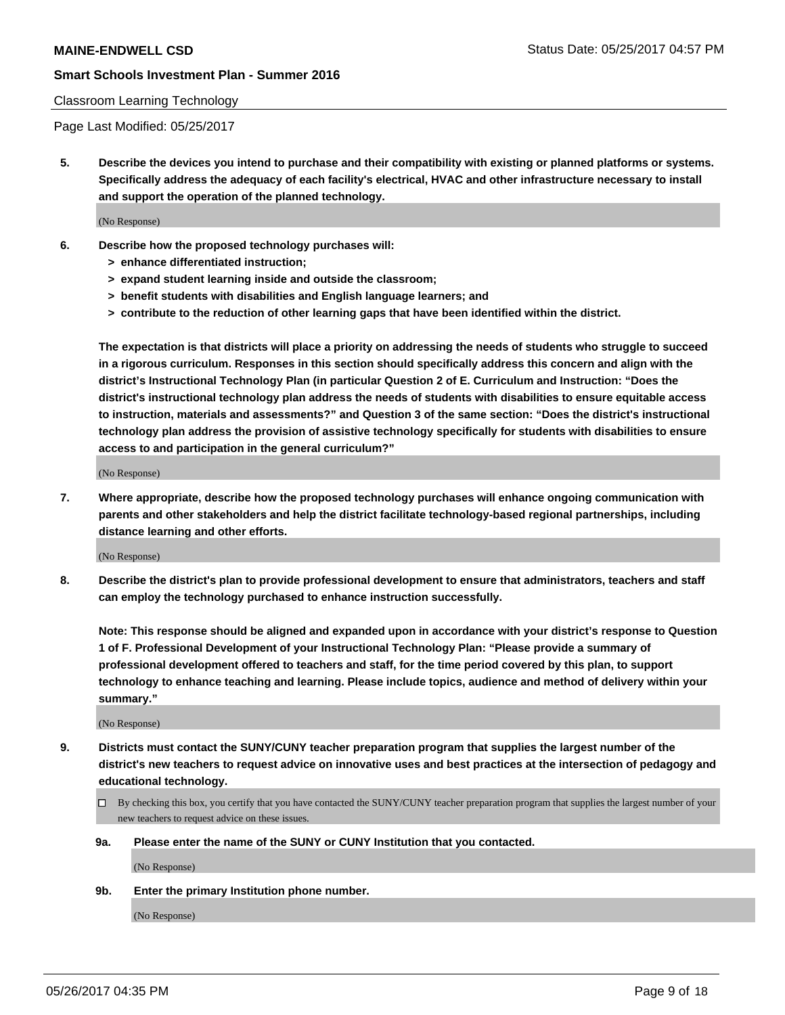#### Classroom Learning Technology

Page Last Modified: 05/25/2017

**5. Describe the devices you intend to purchase and their compatibility with existing or planned platforms or systems. Specifically address the adequacy of each facility's electrical, HVAC and other infrastructure necessary to install and support the operation of the planned technology.**

(No Response)

- **6. Describe how the proposed technology purchases will:**
	- **> enhance differentiated instruction;**
	- **> expand student learning inside and outside the classroom;**
	- **> benefit students with disabilities and English language learners; and**
	- **> contribute to the reduction of other learning gaps that have been identified within the district.**

**The expectation is that districts will place a priority on addressing the needs of students who struggle to succeed in a rigorous curriculum. Responses in this section should specifically address this concern and align with the district's Instructional Technology Plan (in particular Question 2 of E. Curriculum and Instruction: "Does the district's instructional technology plan address the needs of students with disabilities to ensure equitable access to instruction, materials and assessments?" and Question 3 of the same section: "Does the district's instructional technology plan address the provision of assistive technology specifically for students with disabilities to ensure access to and participation in the general curriculum?"**

(No Response)

**7. Where appropriate, describe how the proposed technology purchases will enhance ongoing communication with parents and other stakeholders and help the district facilitate technology-based regional partnerships, including distance learning and other efforts.**

(No Response)

**8. Describe the district's plan to provide professional development to ensure that administrators, teachers and staff can employ the technology purchased to enhance instruction successfully.**

**Note: This response should be aligned and expanded upon in accordance with your district's response to Question 1 of F. Professional Development of your Instructional Technology Plan: "Please provide a summary of professional development offered to teachers and staff, for the time period covered by this plan, to support technology to enhance teaching and learning. Please include topics, audience and method of delivery within your summary."**

(No Response)

- **9. Districts must contact the SUNY/CUNY teacher preparation program that supplies the largest number of the district's new teachers to request advice on innovative uses and best practices at the intersection of pedagogy and educational technology.**
	- By checking this box, you certify that you have contacted the SUNY/CUNY teacher preparation program that supplies the largest number of your new teachers to request advice on these issues.
	- **9a. Please enter the name of the SUNY or CUNY Institution that you contacted.**

(No Response)

**9b. Enter the primary Institution phone number.**

(No Response)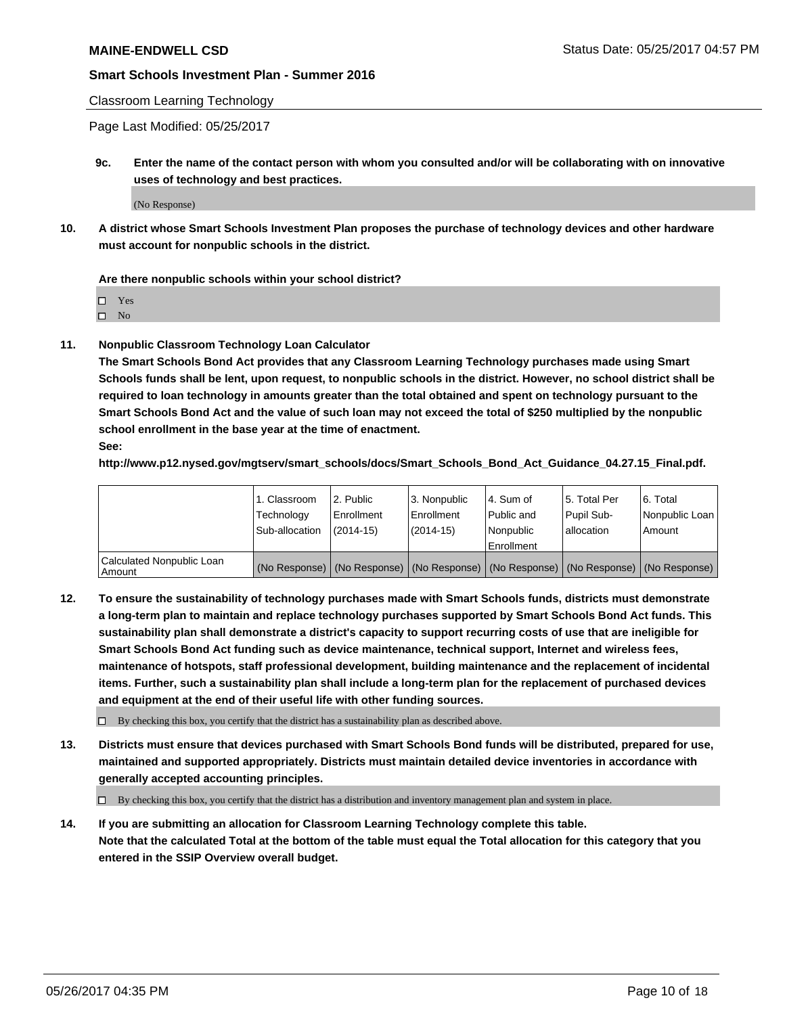### Classroom Learning Technology

Page Last Modified: 05/25/2017

**9c. Enter the name of the contact person with whom you consulted and/or will be collaborating with on innovative uses of technology and best practices.**

(No Response)

**10. A district whose Smart Schools Investment Plan proposes the purchase of technology devices and other hardware must account for nonpublic schools in the district.**

**Are there nonpublic schools within your school district?**

Yes

 $\square$  No

**11. Nonpublic Classroom Technology Loan Calculator**

**The Smart Schools Bond Act provides that any Classroom Learning Technology purchases made using Smart Schools funds shall be lent, upon request, to nonpublic schools in the district. However, no school district shall be required to loan technology in amounts greater than the total obtained and spent on technology pursuant to the Smart Schools Bond Act and the value of such loan may not exceed the total of \$250 multiplied by the nonpublic school enrollment in the base year at the time of enactment.**

**See:**

**http://www.p12.nysed.gov/mgtserv/smart\_schools/docs/Smart\_Schools\_Bond\_Act\_Guidance\_04.27.15\_Final.pdf.**

|                                       | 1. Classroom   | l 2. Public   | 3. Nonpublic | l 4. Sum of | 15. Total Per                                                                                 | 6. Total       |
|---------------------------------------|----------------|---------------|--------------|-------------|-----------------------------------------------------------------------------------------------|----------------|
|                                       | Technology     | Enrollment    | Enrollment   | Public and  | Pupil Sub-                                                                                    | Nonpublic Loan |
|                                       | Sub-allocation | $(2014 - 15)$ | $(2014-15)$  | l Nonpublic | allocation                                                                                    | Amount         |
|                                       |                |               |              | Enrollment  |                                                                                               |                |
| Calculated Nonpublic Loan<br>  Amount |                |               |              |             | (No Response)   (No Response)   (No Response)   (No Response)   (No Response)   (No Response) |                |

**12. To ensure the sustainability of technology purchases made with Smart Schools funds, districts must demonstrate a long-term plan to maintain and replace technology purchases supported by Smart Schools Bond Act funds. This sustainability plan shall demonstrate a district's capacity to support recurring costs of use that are ineligible for Smart Schools Bond Act funding such as device maintenance, technical support, Internet and wireless fees, maintenance of hotspots, staff professional development, building maintenance and the replacement of incidental items. Further, such a sustainability plan shall include a long-term plan for the replacement of purchased devices and equipment at the end of their useful life with other funding sources.**

 $\Box$  By checking this box, you certify that the district has a sustainability plan as described above.

**13. Districts must ensure that devices purchased with Smart Schools Bond funds will be distributed, prepared for use, maintained and supported appropriately. Districts must maintain detailed device inventories in accordance with generally accepted accounting principles.**

By checking this box, you certify that the district has a distribution and inventory management plan and system in place.

**14. If you are submitting an allocation for Classroom Learning Technology complete this table. Note that the calculated Total at the bottom of the table must equal the Total allocation for this category that you entered in the SSIP Overview overall budget.**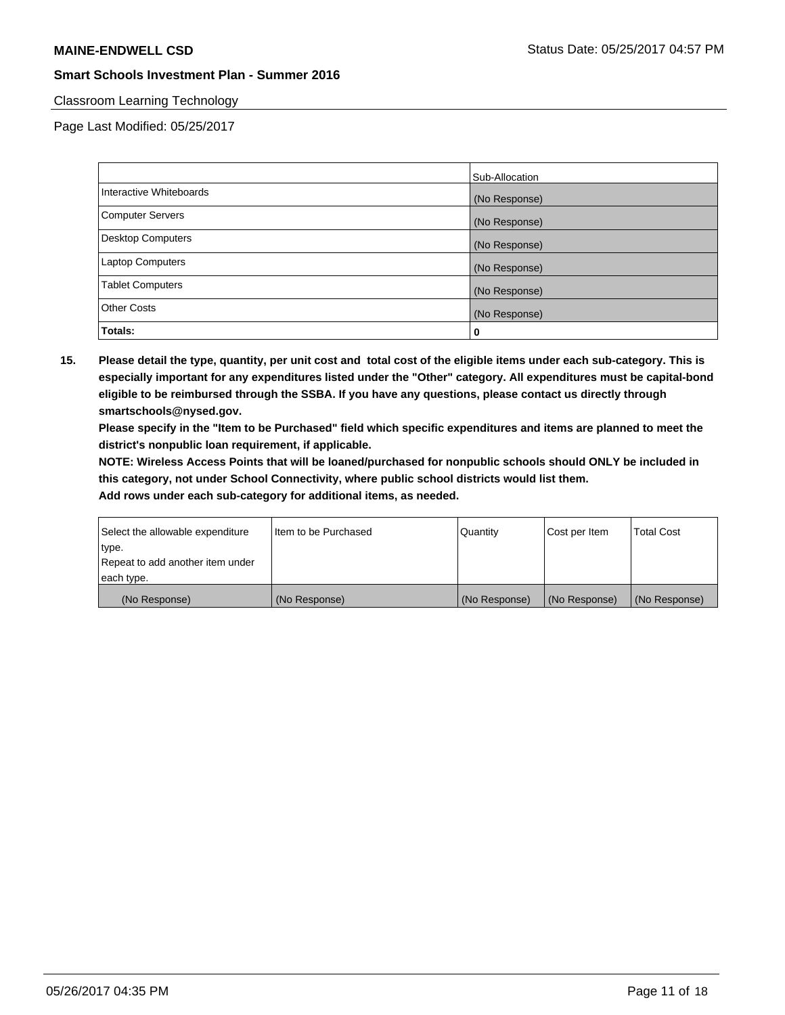## Classroom Learning Technology

Page Last Modified: 05/25/2017

|                          | Sub-Allocation |
|--------------------------|----------------|
| Interactive Whiteboards  | (No Response)  |
| Computer Servers         | (No Response)  |
| <b>Desktop Computers</b> | (No Response)  |
| <b>Laptop Computers</b>  | (No Response)  |
| <b>Tablet Computers</b>  | (No Response)  |
| <b>Other Costs</b>       | (No Response)  |
| Totals:                  | 0              |

**15. Please detail the type, quantity, per unit cost and total cost of the eligible items under each sub-category. This is especially important for any expenditures listed under the "Other" category. All expenditures must be capital-bond eligible to be reimbursed through the SSBA. If you have any questions, please contact us directly through smartschools@nysed.gov.**

**Please specify in the "Item to be Purchased" field which specific expenditures and items are planned to meet the district's nonpublic loan requirement, if applicable.**

**NOTE: Wireless Access Points that will be loaned/purchased for nonpublic schools should ONLY be included in this category, not under School Connectivity, where public school districts would list them.**

| (No Response)                    | (No Response)        | (No Response) | (No Response) | (No Response)     |
|----------------------------------|----------------------|---------------|---------------|-------------------|
| each type.                       |                      |               |               |                   |
| Repeat to add another item under |                      |               |               |                   |
| ∣type.                           |                      |               |               |                   |
| Select the allowable expenditure | Item to be Purchased | Quantity      | Cost per Item | <b>Total Cost</b> |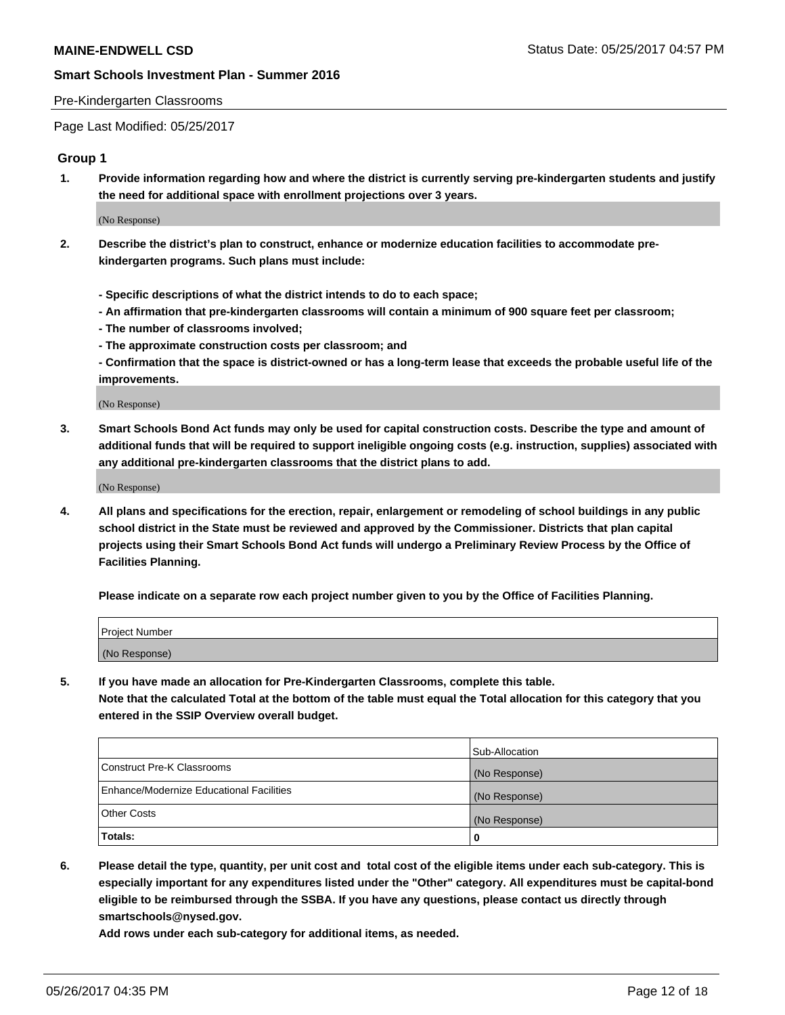#### Pre-Kindergarten Classrooms

Page Last Modified: 05/25/2017

### **Group 1**

**1. Provide information regarding how and where the district is currently serving pre-kindergarten students and justify the need for additional space with enrollment projections over 3 years.**

(No Response)

- **2. Describe the district's plan to construct, enhance or modernize education facilities to accommodate prekindergarten programs. Such plans must include:**
	- **Specific descriptions of what the district intends to do to each space;**
	- **An affirmation that pre-kindergarten classrooms will contain a minimum of 900 square feet per classroom;**
	- **The number of classrooms involved;**
	- **The approximate construction costs per classroom; and**
	- **Confirmation that the space is district-owned or has a long-term lease that exceeds the probable useful life of the improvements.**

(No Response)

**3. Smart Schools Bond Act funds may only be used for capital construction costs. Describe the type and amount of additional funds that will be required to support ineligible ongoing costs (e.g. instruction, supplies) associated with any additional pre-kindergarten classrooms that the district plans to add.**

(No Response)

**4. All plans and specifications for the erection, repair, enlargement or remodeling of school buildings in any public school district in the State must be reviewed and approved by the Commissioner. Districts that plan capital projects using their Smart Schools Bond Act funds will undergo a Preliminary Review Process by the Office of Facilities Planning.**

**Please indicate on a separate row each project number given to you by the Office of Facilities Planning.**

| Project Number |  |
|----------------|--|
| (No Response)  |  |

**5. If you have made an allocation for Pre-Kindergarten Classrooms, complete this table. Note that the calculated Total at the bottom of the table must equal the Total allocation for this category that you entered in the SSIP Overview overall budget.**

| Totals:                                  | 0              |
|------------------------------------------|----------------|
| Other Costs                              | (No Response)  |
| Enhance/Modernize Educational Facilities | (No Response)  |
| Construct Pre-K Classrooms               | (No Response)  |
|                                          | Sub-Allocation |

**6. Please detail the type, quantity, per unit cost and total cost of the eligible items under each sub-category. This is especially important for any expenditures listed under the "Other" category. All expenditures must be capital-bond eligible to be reimbursed through the SSBA. If you have any questions, please contact us directly through smartschools@nysed.gov.**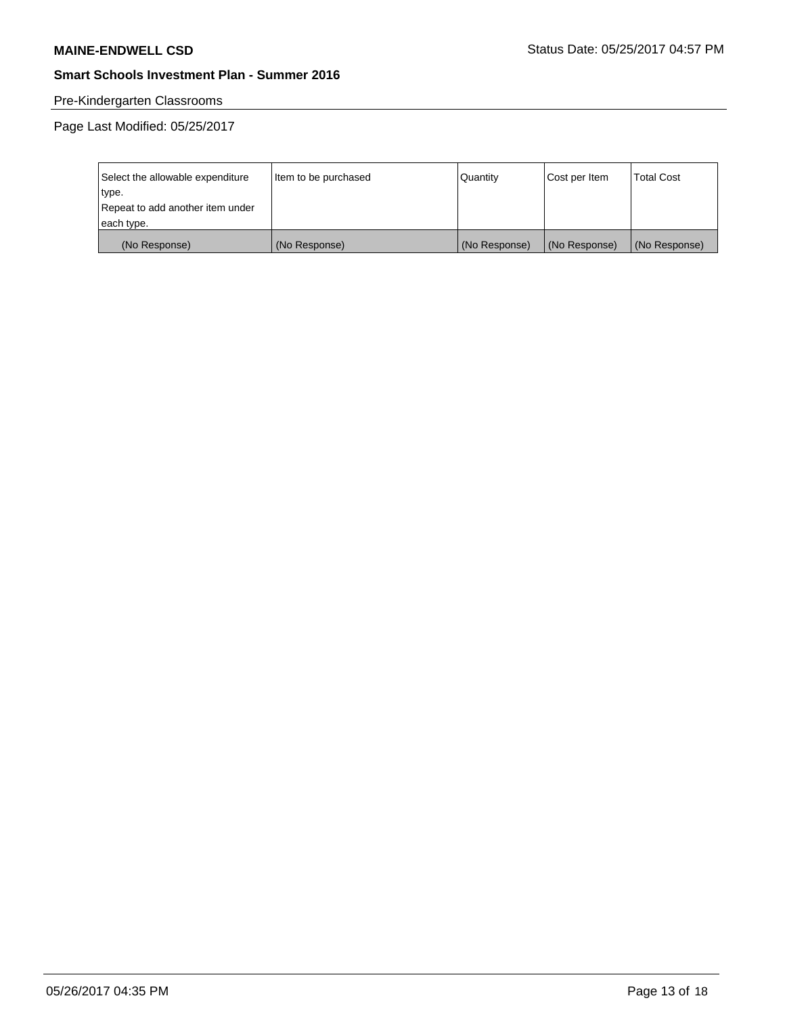# Pre-Kindergarten Classrooms

Page Last Modified: 05/25/2017

| Select the allowable expenditure | Item to be purchased | Quantity      | Cost per Item | <b>Total Cost</b> |
|----------------------------------|----------------------|---------------|---------------|-------------------|
| type.                            |                      |               |               |                   |
| Repeat to add another item under |                      |               |               |                   |
| each type.                       |                      |               |               |                   |
| (No Response)                    | (No Response)        | (No Response) | (No Response) | (No Response)     |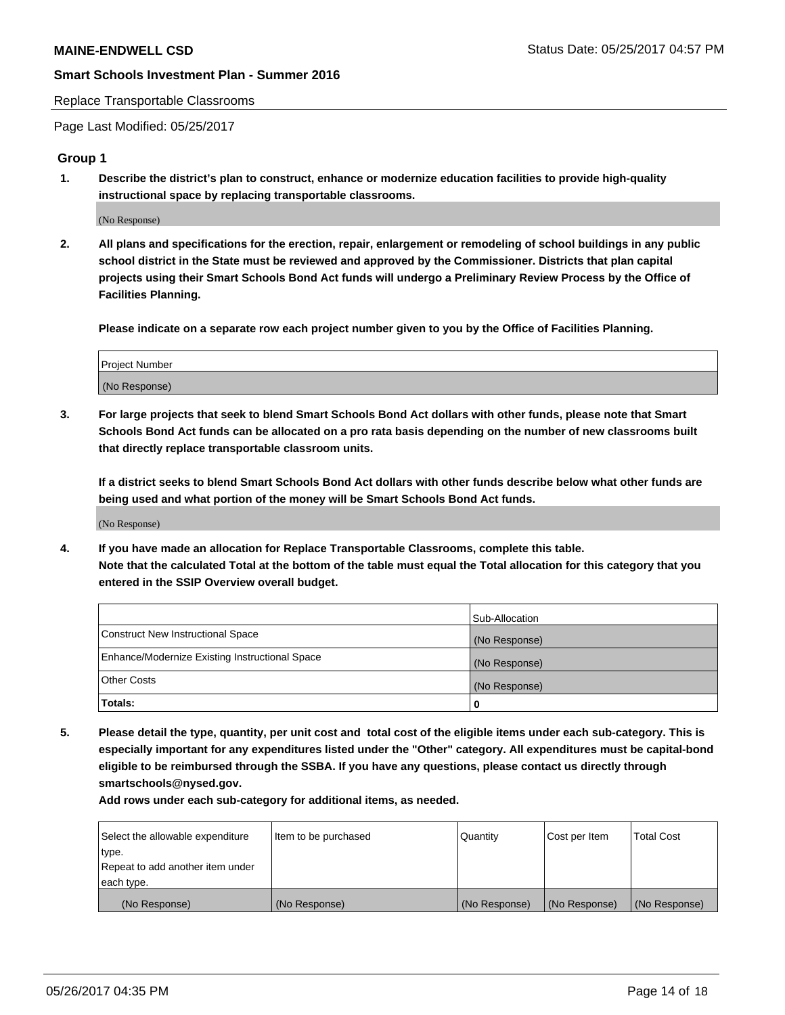#### Replace Transportable Classrooms

Page Last Modified: 05/25/2017

## **Group 1**

**1. Describe the district's plan to construct, enhance or modernize education facilities to provide high-quality instructional space by replacing transportable classrooms.**

(No Response)

**2. All plans and specifications for the erection, repair, enlargement or remodeling of school buildings in any public school district in the State must be reviewed and approved by the Commissioner. Districts that plan capital projects using their Smart Schools Bond Act funds will undergo a Preliminary Review Process by the Office of Facilities Planning.**

**Please indicate on a separate row each project number given to you by the Office of Facilities Planning.**

| Project Number |  |
|----------------|--|
| (No Response)  |  |

**3. For large projects that seek to blend Smart Schools Bond Act dollars with other funds, please note that Smart Schools Bond Act funds can be allocated on a pro rata basis depending on the number of new classrooms built that directly replace transportable classroom units.**

**If a district seeks to blend Smart Schools Bond Act dollars with other funds describe below what other funds are being used and what portion of the money will be Smart Schools Bond Act funds.**

(No Response)

**4. If you have made an allocation for Replace Transportable Classrooms, complete this table. Note that the calculated Total at the bottom of the table must equal the Total allocation for this category that you entered in the SSIP Overview overall budget.**

|                                                | Sub-Allocation |
|------------------------------------------------|----------------|
| Construct New Instructional Space              | (No Response)  |
| Enhance/Modernize Existing Instructional Space | (No Response)  |
| Other Costs                                    | (No Response)  |
| Totals:                                        |                |

**5. Please detail the type, quantity, per unit cost and total cost of the eligible items under each sub-category. This is especially important for any expenditures listed under the "Other" category. All expenditures must be capital-bond eligible to be reimbursed through the SSBA. If you have any questions, please contact us directly through smartschools@nysed.gov.**

| Select the allowable expenditure | Item to be purchased | Quantity      | Cost per Item | <b>Total Cost</b> |
|----------------------------------|----------------------|---------------|---------------|-------------------|
| type.                            |                      |               |               |                   |
| Repeat to add another item under |                      |               |               |                   |
| each type.                       |                      |               |               |                   |
| (No Response)                    | (No Response)        | (No Response) | (No Response) | (No Response)     |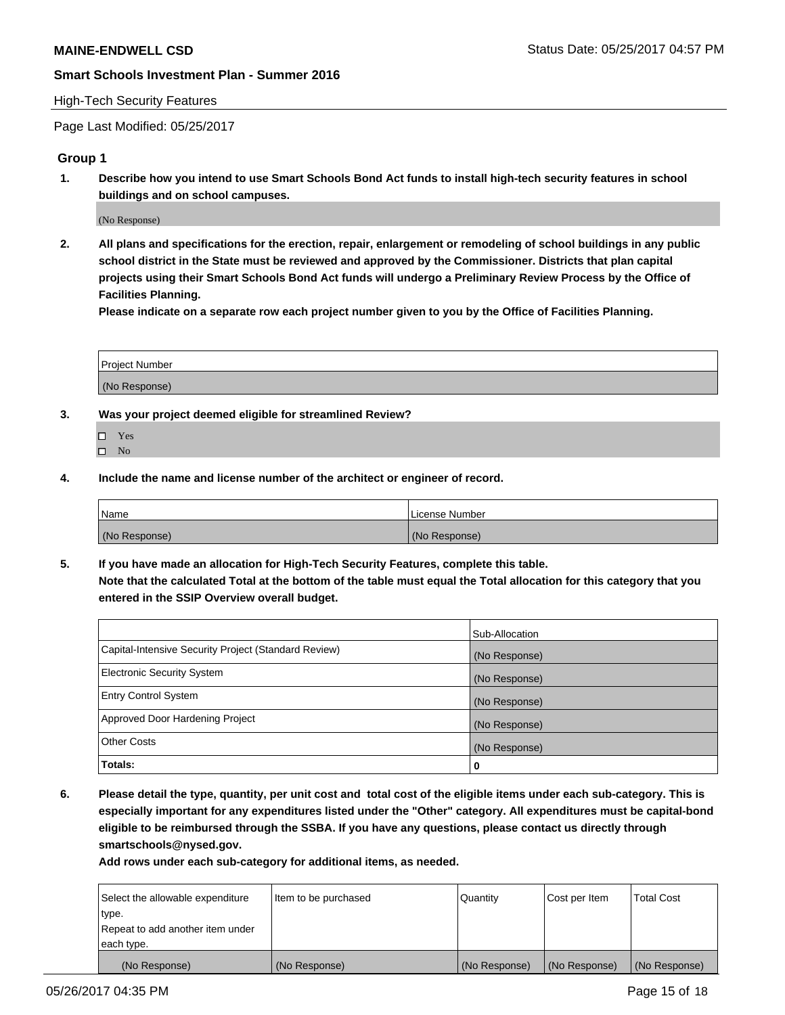### High-Tech Security Features

Page Last Modified: 05/25/2017

## **Group 1**

**1. Describe how you intend to use Smart Schools Bond Act funds to install high-tech security features in school buildings and on school campuses.**

(No Response)

**2. All plans and specifications for the erection, repair, enlargement or remodeling of school buildings in any public school district in the State must be reviewed and approved by the Commissioner. Districts that plan capital projects using their Smart Schools Bond Act funds will undergo a Preliminary Review Process by the Office of Facilities Planning.** 

**Please indicate on a separate row each project number given to you by the Office of Facilities Planning.**

| Project Number |  |
|----------------|--|
|                |  |
| (No Response)  |  |

- **3. Was your project deemed eligible for streamlined Review?**
	- Yes  $\hfill \square$  No
- **4. Include the name and license number of the architect or engineer of record.**

| Name          | License Number |
|---------------|----------------|
| (No Response) | (No Response)  |

**5. If you have made an allocation for High-Tech Security Features, complete this table. Note that the calculated Total at the bottom of the table must equal the Total allocation for this category that you entered in the SSIP Overview overall budget.**

|                                                      | Sub-Allocation |
|------------------------------------------------------|----------------|
| Capital-Intensive Security Project (Standard Review) | (No Response)  |
| <b>Electronic Security System</b>                    | (No Response)  |
| <b>Entry Control System</b>                          | (No Response)  |
| Approved Door Hardening Project                      | (No Response)  |
| <b>Other Costs</b>                                   | (No Response)  |
| Totals:                                              | 0              |

**6. Please detail the type, quantity, per unit cost and total cost of the eligible items under each sub-category. This is especially important for any expenditures listed under the "Other" category. All expenditures must be capital-bond eligible to be reimbursed through the SSBA. If you have any questions, please contact us directly through smartschools@nysed.gov.**

| Select the allowable expenditure | Item to be purchased | Quantity      | Cost per Item | <b>Total Cost</b> |
|----------------------------------|----------------------|---------------|---------------|-------------------|
| type.                            |                      |               |               |                   |
| Repeat to add another item under |                      |               |               |                   |
| each type.                       |                      |               |               |                   |
| (No Response)                    | (No Response)        | (No Response) | (No Response) | (No Response)     |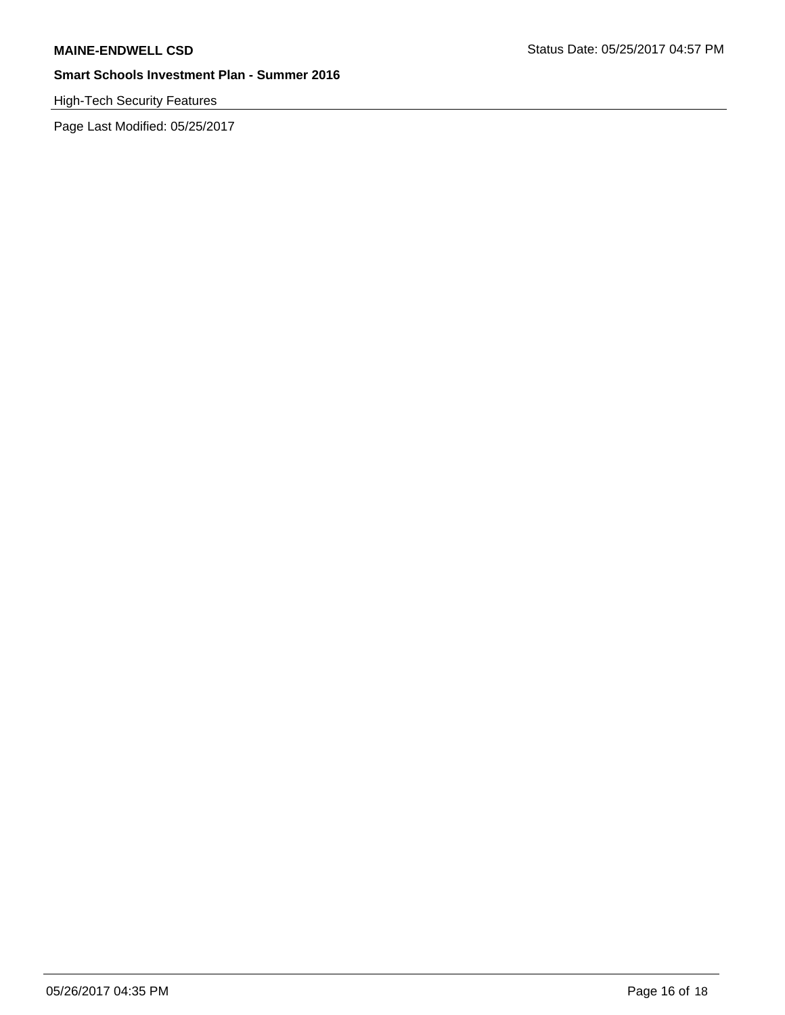# High-Tech Security Features

Page Last Modified: 05/25/2017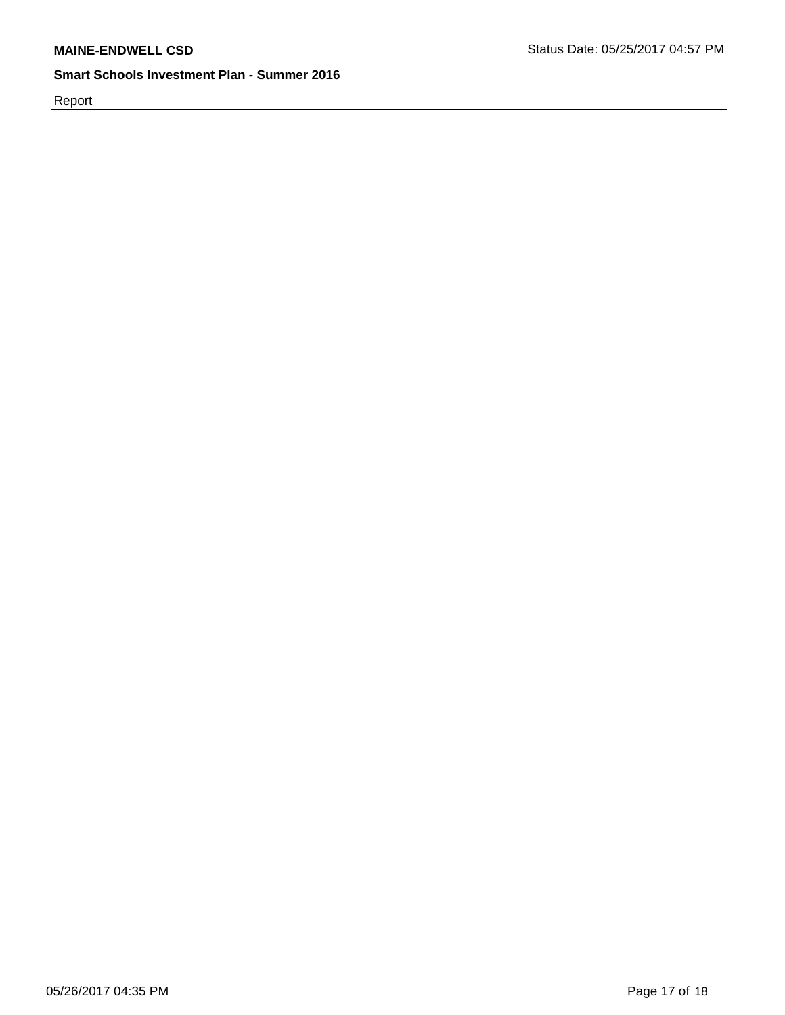Report